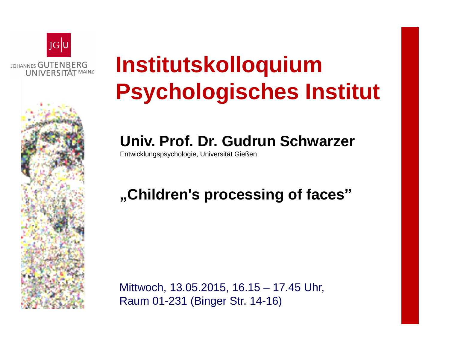

# **Institutskolloquium Psychologisches Institut**

## **Univ. Prof. Dr. Gudrun Schwarzer**

Entwicklungspsychologie, Universität Gießen

## **"Children's processing of faces"**

Mittwoch, 13.05.2015, 16.15 – 17.45 Uhr, Raum 01-231 (Binger Str. 14-16)